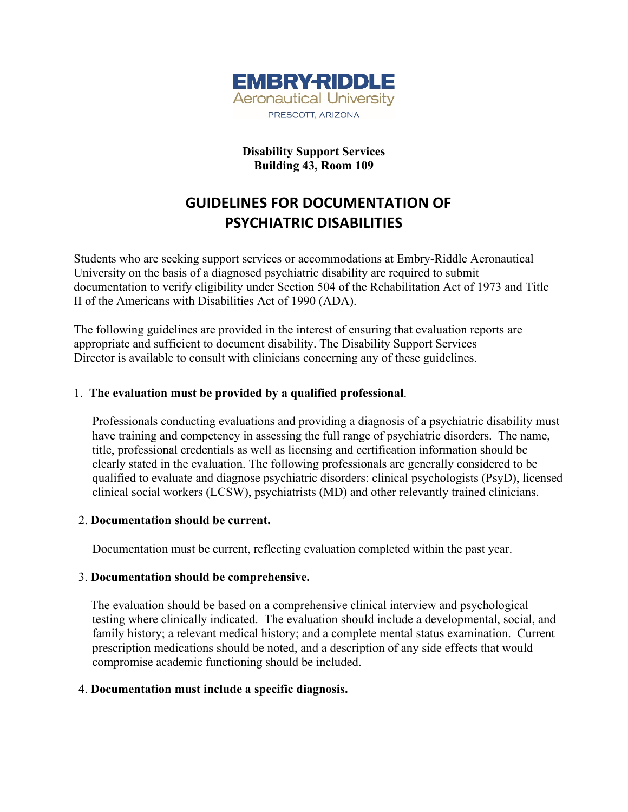

# **Disability Support Services Building 43, Room 109**

# **GUIDELINES FOR DOCUMENTATION OF PSYCHIATRIC DISABILITIES**

Students who are seeking support services or accommodations at Embry-Riddle Aeronautical University on the basis of a diagnosed psychiatric disability are required to submit documentation to verify eligibility under Section 504 of the Rehabilitation Act of 1973 and Title II of the Americans with Disabilities Act of 1990 (ADA).

The following guidelines are provided in the interest of ensuring that evaluation reports are appropriate and sufficient to document disability. The Disability Support Services Director is available to consult with clinicians concerning any of these guidelines.

## 1. **The evaluation must be provided by a qualified professional**.

Professionals conducting evaluations and providing a diagnosis of a psychiatric disability must have training and competency in assessing the full range of psychiatric disorders. The name, title, professional credentials as well as licensing and certification information should be clearly stated in the evaluation. The following professionals are generally considered to be qualified to evaluate and diagnose psychiatric disorders: clinical psychologists (PsyD), licensed clinical social workers (LCSW), psychiatrists (MD) and other relevantly trained clinicians.

#### 2. **Documentation should be current.**

Documentation must be current, reflecting evaluation completed within the past year.

#### 3. **Documentation should be comprehensive.**

 The evaluation should be based on a comprehensive clinical interview and psychological testing where clinically indicated. The evaluation should include a developmental, social, and family history; a relevant medical history; and a complete mental status examination. Current prescription medications should be noted, and a description of any side effects that would compromise academic functioning should be included.

#### 4. **Documentation must include a specific diagnosis.**